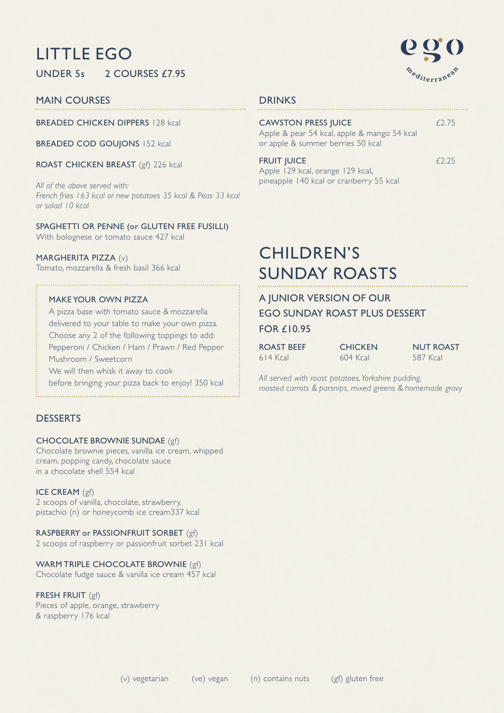# LITTLE EGO

UNDER 5s 2 COURSES £7.95

## MAIN COURSES

BREADED CHICKEN DIPPERS 128 kcal

BREADED COD GOUJONS 152 kcal

ROAST CHICKEN BREAST (gf) 226 kcal

*All of the above served with: French fries 163 kcal or new potatoes 35 kcal & Peas 33 kcal or salad 10 kcal*

SPAGHETTI OR PENNE (or GLUTEN FREE FUSILLI) With bolognese or tomato sauce 427 kcal

## MARGHERITA PIZZA (v)

Tomato, mozzarella & fresh basil 366 kcal

## MAKE YOUR OWN PIZZA

A pizza base with tomato sauce & mozzarella delivered to your table to make your own pizza. Choose any 2 of the following toppings to add: Pepperoni / Chicken / Ham / Prawn / Red Pepper Mushroom / Sweetcorn We will then whisk it away to cook

before bringing your pizza back to enjoy! 350 kcal

## **DESSERTS**

## CHOCOLATE BROWNIE SUNDAE (gf)

Chocolate brownie pieces, vanilla ice cream, whipped cream, popping candy, chocolate sauce in a chocolate shell 554 kcal

## ICE CREAM (gf)

2 scoops of vanilla, chocolate, strawberry, pistachio (n) or honeycomb ice cream337 kcal

## RASPBERRY or PASSIONFRUIT SORBET (gf)

2 scoops of raspberry or passionfruit sorbet 231 kcal

## WARM TRIPLE CHOCOLATE BROWNIE (gf)

Chocolate fudge sauce & vanilla ice cream 457 kcal

## FRESH FRUIT (gf)

Pieces of apple, orange, strawberry & raspberry 176 kcal



## DRINKS

| <b>CAWSTON PRESS JUICE</b><br>Apple & pear 54 kcal, apple & mango 54 kcal<br>or apple & summer berries 50 kcal | £2.75 |  |
|----------------------------------------------------------------------------------------------------------------|-------|--|
| <b>FRUIT JUICE</b><br>Apple 129 kcal, orange 129 kcal,                                                         | f2.25 |  |
| pineapple 140 kcal or cranberry 55 kcal                                                                        |       |  |

# CHILDREN'S SUNDAY ROASTS

## A JUNIOR VERSION OF OUR EGO SUNDAY ROAST PLUS DESSERT

## FOR £10.95

| ROAST BEEF | <b>CHICKEN</b> | <b>NUT ROAST</b> |
|------------|----------------|------------------|
| $614$ Kcal | $604$ Kcal     | .587 Kcal        |

*All served with roast potatoes,Yorkshire pudding, roasted carrots & parsnips, mixed greens & homemade gravy*